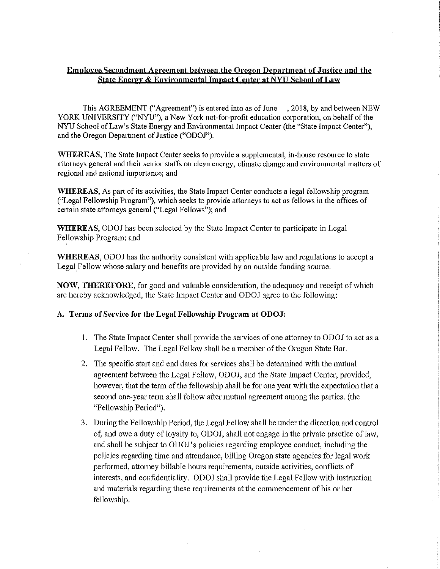## **Emnloxee Secondment Agreement between the Oregon Department of.Justice and the State Energy & Environmental Impact Center at NYU School of Law**

This AGREEMENT ("Agreement") is entered into as of June\_, 2018, by and between NEW YORK UNIVERSITY ("NYU"), a New York not-for-profit education corporation, on behalf of the NYU School of Law's State Energy and Environmental Impact Center (the "State Impact Center"), and the Oregon Department of Justice ("ODOJ").

**WHEREAS,** The State Impact Center seeks to provide a supplemental, in-house resource to state attorneys general and their senior staffs on clean energy, climate change and environmental matters of regional and national importance; and

**WHEREAS,** As part of its activities, the State Impact Center conducts a legal fellowship program ("Legal Fellowship Program"), which seeks to provide attorneys to act as fellows in the offices of certain state attorneys general ("Legal Fellows"); and

**WHEREAS,** ODOJ has been selected by the State Impact Center to participate in Legal Fellowship Program; and

**WHEREAS,** ODOJ has the authority consistent with applicable law and regulations to accept a Legal Fellow whose salary and benefits are provided by an outside funding source.

**NOW, THEREFORE,** for good and valuable consideration, the adequacy and receipt of which are hereby acknowledged, the State Impact Center and ODOJ agree to the following:

## **A. Terms of Service for the Legal Fellowship Program at ODOJ:**

- I. The State Impact Center shall provide the services of one attorney to ODOJ to act as a Legal Fellow. The Legal Fellow shall be a member of the Oregon State Bar.
- 2. The specific start and end dates for services shall be determined with the mutual agreement between the Legal Fellow, ODOJ, and the State Impact Center, provided, however, that the term of the fellowship shall be for one year with the expectation that a second one-year term shall follow after mutual agreement among the parties. (the "Fellowship Period").
- 3. During the Fellowship Period, the Legal Fellow shall be under the direction and control of, and owe a duty of loyalty to, ODOJ, shall not engage in the private practice of law, and shall be subject to ODOJ's policies regarding employee conduct, including the policies regarding time and attendance, billing Oregon state agencies for legal work performed, attorney billable hours requirements, outside activities, conflicts of interests, and confidentiality. ODOJ shall provide the Legal Fellow with instruction and materials regarding these requirements at the commencement of his or her fellowship.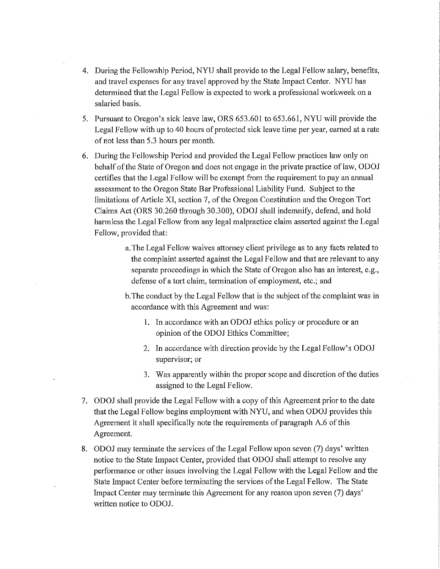- 4. During the Fellowship Period, NYU shall provide to the Legal Fellow salary, benefits, and travel expenses for any travel approved by the State Impact Center. NYU has determined that the Legal Fellow is expected to work a professional workweek on a salaried basis.
- 5. Pursuant to Oregon's sick leave law, ORS 653.601 to 653.661, NYU will provide the Legal Fellow with up to 40 hours of protected sick leave time per year, earned at a rate of not less than 5 .3 hours per month.
- 6. During the Fellowship Period and provided the Legal Fellow practices law only on behalf of the State of Oregon and does not engage in the private practice of law, ODOJ certifies that the Legal Fellow will be exempt from the requirement to pay an annual assessment to the Oregon State Bar Professional Liability Fund. Subject to the limitations of Article XI, section 7, of the Oregon Constitution and the Oregon Tort Claims Act (ORS 30.260 through 30.300), ODOJ shall indemnify, defend, and hold harmless the Legal Fellow from any legal malpractice claim asserted against the Legal Fellow, provided that:
	- a. The Legal Fellow waives attorney client privilege as to any facts related to the complaint asserted against the Legal Fellow and that are relevant to any separate proceedings in which the State of Oregon also has an interest, e.g., defense of a tort claim, termination of employment, etc.; and
	- b.The conduct by the Legal Fellow that is the subject of the complaint was in accordance with this Agreement and was:
		- 1. In accordance with an ODOJ ethics policy or procedure or an opinion of the ODOJ Ethics Committee;
		- 2. In accordance with direction provide by the Legal Fellow's ODOJ supervisor; or
		- 3. Was apparently within the proper scope and discretion of the duties assigned to the Legal Fellow.
- 7. ODOJ shall provide the Legal Fellow with a copy of this Agreement prior to the date that the Legal Fellow begins employment with NYU, and when ODOJ provides this Agreement it shall specifically note the requirements of paragraph A.6 of this Agreement.
- 8. ODOJ may terminate the services of the Legal Fellow upon seven (7) days' written notice to the State Impact Center, provided that ODOJ shall attempt to resolve any performance or other issues involving the Legal Fellow with the Legal Fellow and the State Impact Center before terminating the services of the Legal Fellow. The State Impact Center may terminate this Agreement for any reason upon seven (7) days' written notice to ODOJ.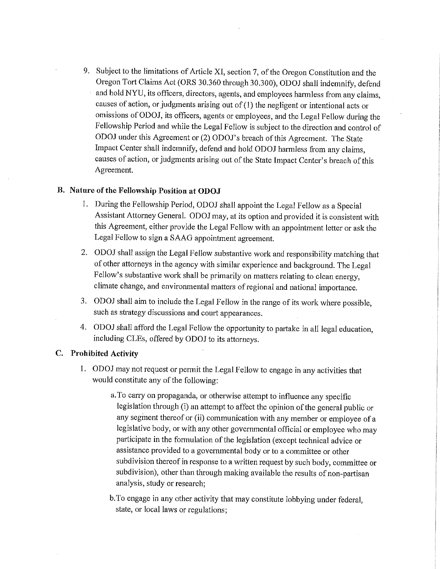9. Subject to the limitations of Atticle XI, section 7, of the Oregon Constitution and the Oregon Tort Claims Act (ORS 30.360 through 30.300), ODOJ shall indemnify, defend and hold NYU, its officers, directors, agents, and employees harmless from any claims, causes of action, or judgments arising out of (I) the negligent or intentional acts or omissions of ODOJ, its officers, agents or employees, and the Legal Fellow during the Fellowship Period and while the Legal Fellow is subject to the direction and control of ODOJ under this Agreement or (2) ODOJ's breach of this Agreement. The State Impact Center shall indemnify, defend and hold ODOJ harmless from any claims, causes of action, or judgments arising out of the State Impact Center's breach of this Agreement.

# **B. Nature of the Fellowship Position at ODOJ**

- 1. During the Fellowship Period, ODOJ shall appoint the Legal Fellow as a Special Assistant Attorney General. ODOJ may, at its option and provided it is consistent with this Agreement, either provide the Legal Fellow with an appointment letter or ask the Legal Fellow to sign a SAAG appointment agreement.
- 2. ODOJ shall assign the Legal Fellow substantive work and responsibility matching that of other attorneys in the agency with similar experience and background. The Legal Fellow's substantive work shall be primarily on matters relating to clean energy, climate change, and environmental matters ofregional and national importance.
- 3. ODOJ shall aim to include the Legal Fellow in the range of its work where possible, such as strategy discussions and court appearances.
- 4. ODOJ shall afford the Legal Fellow the opportunity to partake in all legal education, including CLEs, offered by ODOJ to its attorneys.

# **C. Prohibited Activity**

- I. ODOJ may not request or permit the Legal Fellow to engage in any activities that would constitute any of the following:
	- a. To carry on propaganda, or otherwise attempt to influence any specific legislation through (i) an attempt to affect the opinion of the general public or any segment thereof or (ii) communication with any member or employee of a legislative body, or with any other governmental official or employee who may participate in the formulation of the legislation ( except technical advice or assistance provided to a governmental body or to a committee or other subdivision thereof in response to a written request by such body, committee or subdivision), other than through making available the results of non-partisan analysis, study or research;

b.To engage in any other activity that may constitute lobbying under federal, state, or local laws or regulations;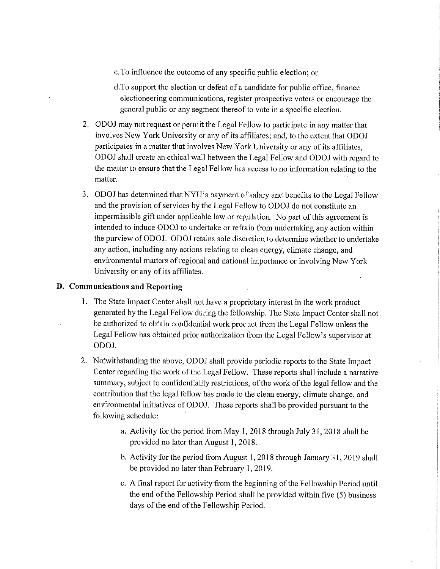c. To influence the outcome of any specific public election; or

d. To support the election or defeat of a candidate for public office, finance electioneering communications, register prospective voters or encourage the general public or any segment thereof to vote in a specific election.

- 2. ODOJ may not request or permit the Legal Fellow to participate in any matter that involves New York University or any of its affiliates; and, to the extent that ODOJ participates in a matter that involves New York University or any of its affiliates, ODOJ shall create an ethical wall between the Legal Fellow and ODOJ with regard to the matter to ensure that the Legal Fellow has access to no information relating to the matter.
- 3. ODOJ has determined that NYU's payment of salary and benefits to the Legal Fellow and the provision of services by the Legal Fellow to ODOJ do not constitute an impermissible gift under applicable law or regulation. No part of this agreement is intended to induce ODOJ to undertake or refrain from undertaking any action within the purview of ODOJ. ODOJ retains sole discretion to determine whether to undertake any action, including any actions relating to clean energy, climate change, and environmental matters of regional and national importance or involving New Yark University or any of its affiliates.

## **D. Communications and Reporting**

- 1. The State Impact Center shall not have a proprietary interest in the work product generated by the Legal Fellow during the fellowship. The State Impact Center shall not be authorized to obtain confidential work product from the Legal Fellow unless the Legal Fellow has obtained prior authorization from the Legal Fellow's supervisor at ODOJ.
- 2. Notwithstanding the above, ODOJ shall provide periodic reports to the State Impact Center regarding the work of the Legal Fellow. These repotis shall include a narrative summary, subject to confidentiality restrictions, of the work of the legal fellow and the contribution that the legal fellow has made to the clean energy, climate change, and environmental initiatives of ODOJ. These reports shall be provided pursuant to the following schedule:
	- a. Activity for the period from May 1, 2018 through July 31, 2018 shall be provided no later than August 1, 2018.
	- b. Activity for the period from August 1, 2018 through January 31, 2019 shall be provided no later than February I, 2019.
	- c. A final report for activity from the beginning of the Fellowship Period until the end of the Fellowship Period shall be provided within five (5) business days of the end of the Fellowship Period.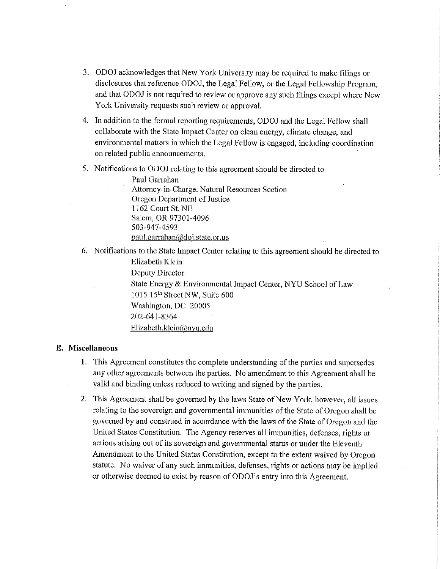- 3. ODOJ acknowledges that New York University may be required to make filings or disclosures that reference ODOJ, the Legal Fellow, or the Legal Fellowship Program, and that ODOJ is not required to review or approve any such filings except where New York University requests such review or approval.
- 4. In addition to the formal reporting requirements, ODOJ and the Legal Fellow shall collaborate with the State Impact Center on clean energy, climate change, and environmental matters in which the Legal Fellow is engaged, including coordination on related public announcements.
- 5. Notifications to ODOJ relating to this agreement should be directed to

Paul Garrahan Attorney-in-Charge, Natural Resources Section Oregon Department of Justice 1162 Comt St. NE Salem, OR 97301-4096 503-947-4593 paul.garrahan@doj.state.or.us

6. Notifications to the State Impact Center relating to this agreement should be directed to Elizabeth Klein

Deputy Director

State Energy & Environmental Impact Center, NYU School of Law 1015 15<sup>th</sup> Street NW, Suite 600 Washington, DC 20005 202-641-8364 Elizabeth.klein@nyu.edu

## **E. Miscellaneous**

- I. This Agreement constitutes the complete understanding of the parties and supersedes any other agreements between the parties. No amendment to this Agreement shall be valid and binding unless reduced to writing and signed by the parties.
- 2. This Agreement shall be governed by the laws State of New York, however, all issues relating to the sovereign and governmental immunities of the State of Oregon shall be governed by and construed in accordance with the laws of the State of Oregon and the United States Constitution. The Agency reserves all immunities, defenses, rights or actions arising out of its sovereign and governmental status or under the Eleventh Amendment to the United States Constitution, except to the extent waived by Oregon statute. No waiver of any such immunities, defenses, rights or actions may be implied or otherwise deemed to exist by reason ofODOJ's entry into this Agreement.